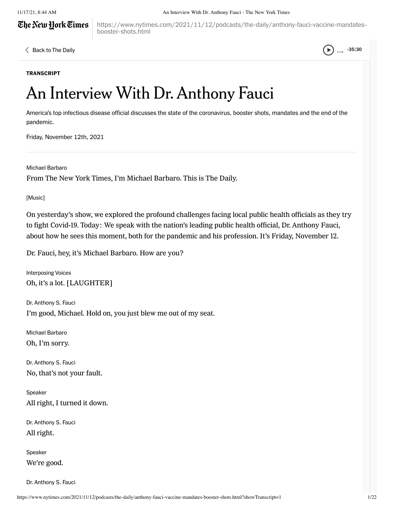# The New Hork Times

#### 11/17/21, 8:44 AM An Interview With Dr. Anthony Fauci - The New York Times

https://www.nytimes.com/2021/11/12/podcasts/the-daily/anthony-fauci-vaccine-mandatesbooster-shots.html

 $\langle$  Back to The Daily  $\langle \bullet \rangle$  .... -35:30

#### **TRANSCRIPT**

# An Interview With Dr. Anthony Fauci

America's top infectious disease official discusses the state of the coronavirus, booster shots, mandates and the end of the pandemic.

Friday, November 12th, 2021

Michael Barbaro

From The New York Times, I'm Michael Barbaro. This is The Daily.

[Music]

On yesterday's show, we explored the profound challenges facing local public health officials as they try to fight Covid-19. Today: We speak with the nation's leading public health official, Dr. Anthony Fauci, about how he sees this moment, both for the pandemic and his profession. It's Friday, November 12.

Dr. Fauci, hey, it's Michael Barbaro. How are you?

Interposing Voices Oh, it's a lot. [LAUGHTER]

Dr. Anthony S. Fauci I'm good, Michael. Hold on, you just blew me out of my seat.

Michael Barbaro Oh, I'm sorry.

Dr. Anthony S. Fauci No, that's not your fault.

Speaker All right, I turned it down.

Dr. Anthony S. Fauci All right.

Speaker We're good.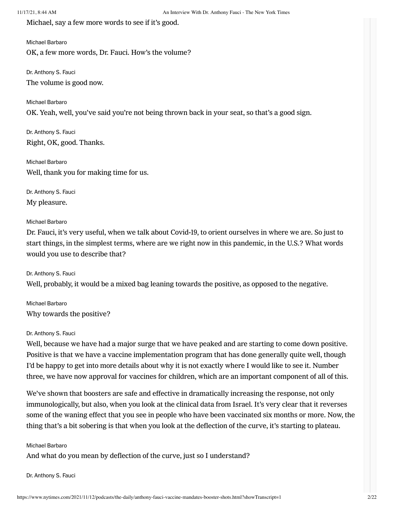Michael, say a few more words to see if it's good.

#### Michael Barbaro

OK, a few more words, Dr. Fauci. How's the volume?

Dr. Anthony S. Fauci The volume is good now.

Michael Barbaro OK. Yeah, well, you've said you're not being thrown back in your seat, so that's a good sign.

Dr. Anthony S. Fauci Right, OK, good. Thanks.

Michael Barbaro Well, thank you for making time for us.

Dr. Anthony S. Fauci My pleasure.

#### Michael Barbaro

Dr. Fauci, it's very useful, when we talk about Covid-19, to orient ourselves in where we are. So just to start things, in the simplest terms, where are we right now in this pandemic, in the U.S.? What words would you use to describe that?

Dr. Anthony S. Fauci Well, probably, it would be a mixed bag leaning towards the positive, as opposed to the negative.

Michael Barbaro Why towards the positive?

#### Dr. Anthony S. Fauci

Well, because we have had a major surge that we have peaked and are starting to come down positive. Positive is that we have a vaccine implementation program that has done generally quite well, though I'd be happy to get into more details about why it is not exactly where I would like to see it. Number three, we have now approval for vaccines for children, which are an important component of all of this.

We've shown that boosters are safe and effective in dramatically increasing the response, not only immunologically, but also, when you look at the clinical data from Israel. It's very clear that it reverses some of the waning effect that you see in people who have been vaccinated six months or more. Now, the thing that's a bit sobering is that when you look at the deflection of the curve, it's starting to plateau.

#### Michael Barbaro

And what do you mean by deflection of the curve, just so I understand?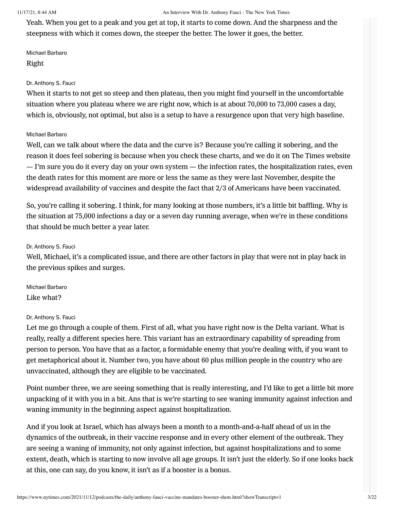Yeah. When you get to a peak and you get at top, it starts to come down. And the sharpness and the steepness with which it comes down, the steeper the better. The lower it goes, the better.

Michael Barbaro Right

# Dr. Anthony S. Fauci

When it starts to not get so steep and then plateau, then you might find yourself in the uncomfortable situation where you plateau where we are right now, which is at about 70,000 to 73,000 cases a day, which is, obviously, not optimal, but also is a setup to have a resurgence upon that very high baseline.

# Michael Barbaro

Well, can we talk about where the data and the curve is? Because you're calling it sobering, and the reason it does feel sobering is because when you check these charts, and we do it on The Times website — I'm sure you do it every day on your own system — the infection rates, the hospitalization rates, even the death rates for this moment are more or less the same as they were last November, despite the widespread availability of vaccines and despite the fact that 2/3 of Americans have been vaccinated.

So, you're calling it sobering. I think, for many looking at those numbers, it's a little bit baffling. Why is the situation at 75,000 infections a day or a seven day running average, when we're in these conditions that should be much better a year later.

# Dr. Anthony S. Fauci

Well, Michael, it's a complicated issue, and there are other factors in play that were not in play back in the previous spikes and surges.

Michael Barbaro Like what?

# Dr. Anthony S. Fauci

Let me go through a couple of them. First of all, what you have right now is the Delta variant. What is really, really a different species here. This variant has an extraordinary capability of spreading from person to person. You have that as a factor, a formidable enemy that you're dealing with, if you want to get metaphorical about it. Number two, you have about 60 plus million people in the country who are unvaccinated, although they are eligible to be vaccinated.

Point number three, we are seeing something that is really interesting, and I'd like to get a little bit more unpacking of it with you in a bit. Ans that is we're starting to see waning immunity against infection and waning immunity in the beginning aspect against hospitalization.

And if you look at Israel, which has always been a month to a month-and-a-half ahead of us in the dynamics of the outbreak, in their vaccine response and in every other element of the outbreak. They are seeing a waning of immunity, not only against infection, but against hospitalizations and to some extent, death, which is starting to now involve all age groups. It isn't just the elderly. So if one looks back at this, one can say, do you know, it isn't as if a booster is a bonus.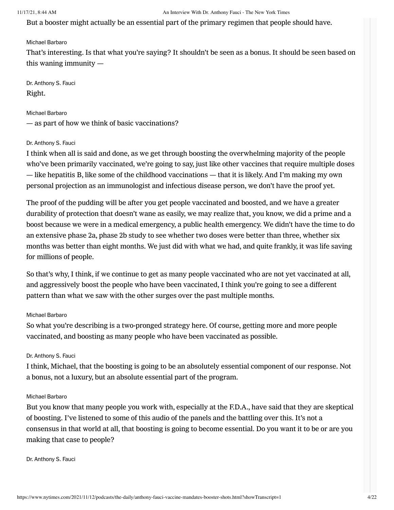But a booster might actually be an essential part of the primary regimen that people should have.

#### Michael Barbaro

That's interesting. Is that what you're saying? It shouldn't be seen as a bonus. It should be seen based on this waning immunity —

Dr. Anthony S. Fauci Right.

Michael Barbaro — as part of how we think of basic vaccinations?

#### Dr. Anthony S. Fauci

I think when all is said and done, as we get through boosting the overwhelming majority of the people who've been primarily vaccinated, we're going to say, just like other vaccines that require multiple doses — like hepatitis B, like some of the childhood vaccinations — that it is likely. And I'm making my own personal projection as an immunologist and infectious disease person, we don't have the proof yet.

The proof of the pudding will be after you get people vaccinated and boosted, and we have a greater durability of protection that doesn't wane as easily, we may realize that, you know, we did a prime and a boost because we were in a medical emergency, a public health emergency. We didn't have the time to do an extensive phase 2a, phase 2b study to see whether two doses were better than three, whether six months was better than eight months. We just did with what we had, and quite frankly, it was life saving for millions of people.

So that's why, I think, if we continue to get as many people vaccinated who are not yet vaccinated at all, and aggressively boost the people who have been vaccinated, I think you're going to see a different pattern than what we saw with the other surges over the past multiple months.

#### Michael Barbaro

So what you're describing is a two-pronged strategy here. Of course, getting more and more people vaccinated, and boosting as many people who have been vaccinated as possible.

#### Dr. Anthony S. Fauci

I think, Michael, that the boosting is going to be an absolutely essential component of our response. Not a bonus, not a luxury, but an absolute essential part of the program.

#### Michael Barbaro

But you know that many people you work with, especially at the F.D.A., have said that they are skeptical of boosting. I've listened to some of this audio of the panels and the battling over this. It's not a consensus in that world at all, that boosting is going to become essential. Do you want it to be or are you making that case to people?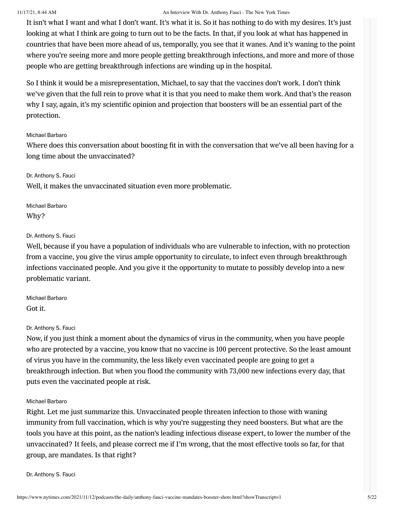It isn't what I want and what I don't want. It's what it is. So it has nothing to do with my desires. It's just looking at what I think are going to turn out to be the facts. In that, if you look at what has happened in countries that have been more ahead of us, temporally, you see that it wanes. And it's waning to the point where you're seeing more and more people getting breakthrough infections, and more and more of those people who are getting breakthrough infections are winding up in the hospital.

So I think it would be a misrepresentation, Michael, to say that the vaccines don't work. I don't think we've given that the full rein to prove what it is that you need to make them work. And that's the reason why I say, again, it's my scientific opinion and projection that boosters will be an essential part of the protection.

#### Michael Barbaro

Where does this conversation about boosting fit in with the conversation that we've all been having for a long time about the unvaccinated?

#### Dr. Anthony S. Fauci

Well, it makes the unvaccinated situation even more problematic.

Michael Barbaro Why?

#### Dr. Anthony S. Fauci

Well, because if you have a population of individuals who are vulnerable to infection, with no protection from a vaccine, you give the virus ample opportunity to circulate, to infect even through breakthrough infections vaccinated people. And you give it the opportunity to mutate to possibly develop into a new problematic variant.

Michael Barbaro Got it.

#### Dr. Anthony S. Fauci

Now, if you just think a moment about the dynamics of virus in the community, when you have people who are protected by a vaccine, you know that no vaccine is 100 percent protective. So the least amount of virus you have in the community, the less likely even vaccinated people are going to get a breakthrough infection. But when you flood the community with 73,000 new infections every day, that puts even the vaccinated people at risk.

#### Michael Barbaro

Right. Let me just summarize this. Unvaccinated people threaten infection to those with waning immunity from full vaccination, which is why you're suggesting they need boosters. But what are the tools you have at this point, as the nation's leading infectious disease expert, to lower the number of the unvaccinated? It feels, and please correct me if I'm wrong, that the most effective tools so far, for that group, are mandates. Is that right?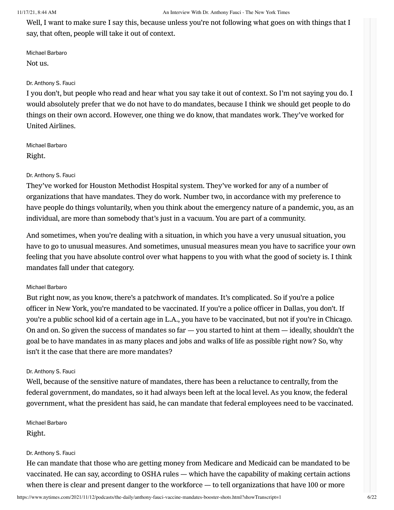Well, I want to make sure I say this, because unless you're not following what goes on with things that I say, that often, people will take it out of context.

Michael Barbaro Not us.

# Dr. Anthony S. Fauci

I you don't, but people who read and hear what you say take it out of context. So I'm not saying you do. I would absolutely prefer that we do not have to do mandates, because I think we should get people to do things on their own accord. However, one thing we do know, that mandates work. They've worked for United Airlines.

Michael Barbaro Right.

# Dr. Anthony S. Fauci

They've worked for Houston Methodist Hospital system. They've worked for any of a number of organizations that have mandates. They do work. Number two, in accordance with my preference to have people do things voluntarily, when you think about the emergency nature of a pandemic, you, as an individual, are more than somebody that's just in a vacuum. You are part of a community.

And sometimes, when you're dealing with a situation, in which you have a very unusual situation, you have to go to unusual measures. And sometimes, unusual measures mean you have to sacrifice your own feeling that you have absolute control over what happens to you with what the good of society is. I think mandates fall under that category.

# Michael Barbaro

But right now, as you know, there's a patchwork of mandates. It's complicated. So if you're a police officer in New York, you're mandated to be vaccinated. If you're a police officer in Dallas, you don't. If you're a public school kid of a certain age in L.A., you have to be vaccinated, but not if you're in Chicago. On and on. So given the success of mandates so far  $-$  you started to hint at them  $-$  ideally, shouldn't the goal be to have mandates in as many places and jobs and walks of life as possible right now? So, why isn't it the case that there are more mandates?

#### Dr. Anthony S. Fauci

Well, because of the sensitive nature of mandates, there has been a reluctance to centrally, from the federal government, do mandates, so it had always been left at the local level. As you know, the federal government, what the president has said, he can mandate that federal employees need to be vaccinated.

Michael Barbaro Right.

#### Dr. Anthony S. Fauci

He can mandate that those who are getting money from Medicare and Medicaid can be mandated to be vaccinated. He can say, according to OSHA rules — which have the capability of making certain actions when there is clear and present danger to the workforce — to tell organizations that have 100 or more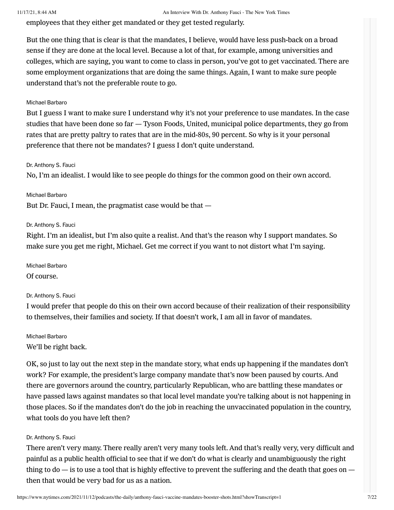employees that they either get mandated or they get tested regularly.

But the one thing that is clear is that the mandates, I believe, would have less push-back on a broad sense if they are done at the local level. Because a lot of that, for example, among universities and colleges, which are saying, you want to come to class in person, you've got to get vaccinated. There are some employment organizations that are doing the same things. Again, I want to make sure people understand that's not the preferable route to go.

# Michael Barbaro

But I guess I want to make sure I understand why it's not your preference to use mandates. In the case studies that have been done so far — Tyson Foods, United, municipal police departments, they go from rates that are pretty paltry to rates that are in the mid-80s, 90 percent. So why is it your personal preference that there not be mandates? I guess I don't quite understand.

#### Dr. Anthony S. Fauci

No, I'm an idealist. I would like to see people do things for the common good on their own accord.

Michael Barbaro But Dr. Fauci, I mean, the pragmatist case would be that —

#### Dr. Anthony S. Fauci

Right. I'm an idealist, but I'm also quite a realist. And that's the reason why I support mandates. So make sure you get me right, Michael. Get me correct if you want to not distort what I'm saying.

Michael Barbaro Of course.

Dr. Anthony S. Fauci

I would prefer that people do this on their own accord because of their realization of their responsibility to themselves, their families and society. If that doesn't work, I am all in favor of mandates.

Michael Barbaro We'll be right back.

OK, so just to lay out the next step in the mandate story, what ends up happening if the mandates don't work? For example, the president's large company mandate that's now been paused by courts. And there are governors around the country, particularly Republican, who are battling these mandates or have passed laws against mandates so that local level mandate you're talking about is not happening in those places. So if the mandates don't do the job in reaching the unvaccinated population in the country, what tools do you have left then?

#### Dr. Anthony S. Fauci

There aren't very many. There really aren't very many tools left. And that's really very, very difficult and painful as a public health official to see that if we don't do what is clearly and unambiguously the right thing to  $d\sigma - i s$  to use a tool that is highly effective to prevent the suffering and the death that goes on  $$ then that would be very bad for us as a nation.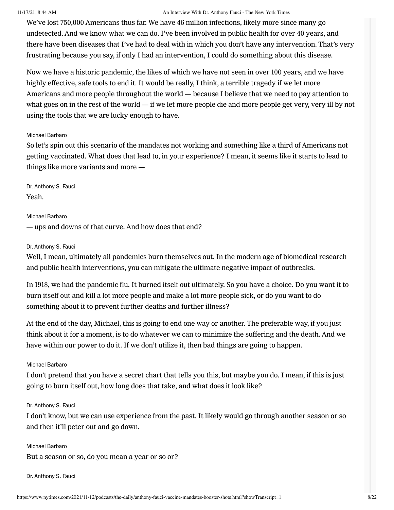We've lost 750,000 Americans thus far. We have 46 million infections, likely more since many go undetected. And we know what we can do. I've been involved in public health for over 40 years, and there have been diseases that I've had to deal with in which you don't have any intervention. That's very frustrating because you say, if only I had an intervention, I could do something about this disease.

Now we have a historic pandemic, the likes of which we have not seen in over 100 years, and we have highly effective, safe tools to end it. It would be really, I think, a terrible tragedy if we let more Americans and more people throughout the world — because I believe that we need to pay attention to what goes on in the rest of the world — if we let more people die and more people get very, very ill by not using the tools that we are lucky enough to have.

#### Michael Barbaro

So let's spin out this scenario of the mandates not working and something like a third of Americans not getting vaccinated. What does that lead to, in your experience? I mean, it seems like it starts to lead to things like more variants and more —

Dr. Anthony S. Fauci Yeah.

Michael Barbaro — ups and downs of that curve. And how does that end?

#### Dr. Anthony S. Fauci

Well, I mean, ultimately all pandemics burn themselves out. In the modern age of biomedical research and public health interventions, you can mitigate the ultimate negative impact of outbreaks.

In 1918, we had the pandemic flu. It burned itself out ultimately. So you have a choice. Do you want it to burn itself out and kill a lot more people and make a lot more people sick, or do you want to do something about it to prevent further deaths and further illness?

At the end of the day, Michael, this is going to end one way or another. The preferable way, if you just think about it for a moment, is to do whatever we can to minimize the suffering and the death. And we have within our power to do it. If we don't utilize it, then bad things are going to happen.

# Michael Barbaro

I don't pretend that you have a secret chart that tells you this, but maybe you do. I mean, if this is just going to burn itself out, how long does that take, and what does it look like?

#### Dr. Anthony S. Fauci

I don't know, but we can use experience from the past. It likely would go through another season or so and then it'll peter out and go down.

Michael Barbaro But a season or so, do you mean a year or so or?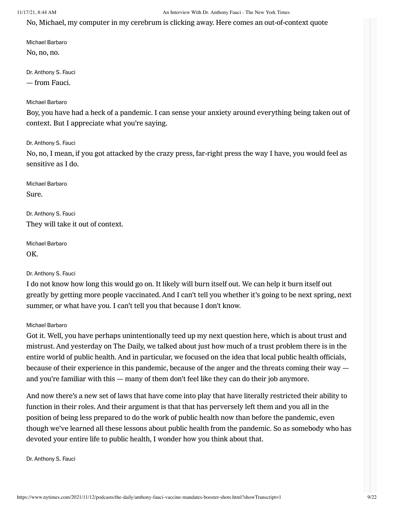No, Michael, my computer in my cerebrum is clicking away. Here comes an out-of-context quote

Michael Barbaro No, no, no.

Dr. Anthony S. Fauci — from Fauci.

#### Michael Barbaro

Boy, you have had a heck of a pandemic. I can sense your anxiety around everything being taken out of context. But I appreciate what you're saying.

Dr. Anthony S. Fauci

No, no, I mean, if you got attacked by the crazy press, far-right press the way I have, you would feel as sensitive as I do.

Michael Barbaro Sure.

Dr. Anthony S. Fauci They will take it out of context.

Michael Barbaro OK.

#### Dr. Anthony S. Fauci

I do not know how long this would go on. It likely will burn itself out. We can help it burn itself out greatly by getting more people vaccinated. And I can't tell you whether it's going to be next spring, next summer, or what have you. I can't tell you that because I don't know.

#### Michael Barbaro

Got it. Well, you have perhaps unintentionally teed up my next question here, which is about trust and mistrust. And yesterday on The Daily, we talked about just how much of a trust problem there is in the entire world of public health. And in particular, we focused on the idea that local public health officials, because of their experience in this pandemic, because of the anger and the threats coming their way and you're familiar with this — many of them don't feel like they can do their job anymore.

And now there's a new set of laws that have come into play that have literally restricted their ability to function in their roles. And their argument is that that has perversely left them and you all in the position of being less prepared to do the work of public health now than before the pandemic, even though we've learned all these lessons about public health from the pandemic. So as somebody who has devoted your entire life to public health, I wonder how you think about that.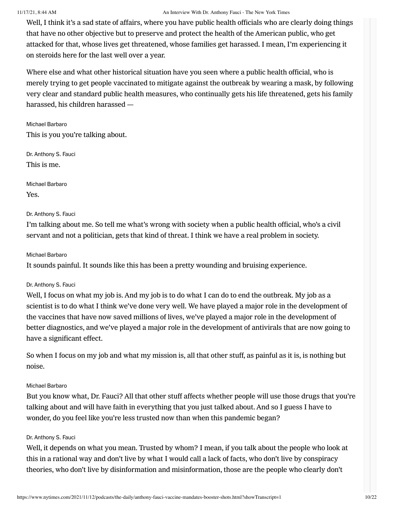Well, I think it's a sad state of affairs, where you have public health officials who are clearly doing things that have no other objective but to preserve and protect the health of the American public, who get attacked for that, whose lives get threatened, whose families get harassed. I mean, I'm experiencing it on steroids here for the last well over a year.

Where else and what other historical situation have you seen where a public health official, who is merely trying to get people vaccinated to mitigate against the outbreak by wearing a mask, by following very clear and standard public health measures, who continually gets his life threatened, gets his family harassed, his children harassed —

Michael Barbaro This is you you're talking about.

Dr. Anthony S. Fauci This is me.

Michael Barbaro Yes.

# Dr. Anthony S. Fauci

I'm talking about me. So tell me what's wrong with society when a public health official, who's a civil servant and not a politician, gets that kind of threat. I think we have a real problem in society.

# Michael Barbaro

It sounds painful. It sounds like this has been a pretty wounding and bruising experience.

# Dr. Anthony S. Fauci

Well, I focus on what my job is. And my job is to do what I can do to end the outbreak. My job as a scientist is to do what I think we've done very well. We have played a major role in the development of the vaccines that have now saved millions of lives, we've played a major role in the development of better diagnostics, and we've played a major role in the development of antivirals that are now going to have a significant effect.

So when I focus on my job and what my mission is, all that other stuff, as painful as it is, is nothing but noise.

# Michael Barbaro

But you know what, Dr. Fauci? All that other stuff affects whether people will use those drugs that you're talking about and will have faith in everything that you just talked about. And so I guess I have to wonder, do you feel like you're less trusted now than when this pandemic began?

# Dr. Anthony S. Fauci

Well, it depends on what you mean. Trusted by whom? I mean, if you talk about the people who look at this in a rational way and don't live by what I would call a lack of facts, who don't live by conspiracy theories, who don't live by disinformation and misinformation, those are the people who clearly don't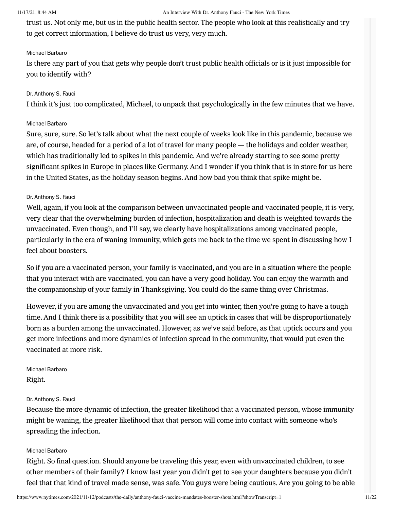trust us. Not only me, but us in the public health sector. The people who look at this realistically and try to get correct information, I believe do trust us very, very much.

# Michael Barbaro

Is there any part of you that gets why people don't trust public health officials or is it just impossible for you to identify with?

#### Dr. Anthony S. Fauci

I think it's just too complicated, Michael, to unpack that psychologically in the few minutes that we have.

#### Michael Barbaro

Sure, sure, sure. So let's talk about what the next couple of weeks look like in this pandemic, because we are, of course, headed for a period of a lot of travel for many people — the holidays and colder weather, which has traditionally led to spikes in this pandemic. And we're already starting to see some pretty significant spikes in Europe in places like Germany. And I wonder if you think that is in store for us here in the United States, as the holiday season begins. And how bad you think that spike might be.

# Dr. Anthony S. Fauci

Well, again, if you look at the comparison between unvaccinated people and vaccinated people, it is very, very clear that the overwhelming burden of infection, hospitalization and death is weighted towards the unvaccinated. Even though, and I'll say, we clearly have hospitalizations among vaccinated people, particularly in the era of waning immunity, which gets me back to the time we spent in discussing how I feel about boosters.

So if you are a vaccinated person, your family is vaccinated, and you are in a situation where the people that you interact with are vaccinated, you can have a very good holiday. You can enjoy the warmth and the companionship of your family in Thanksgiving. You could do the same thing over Christmas.

However, if you are among the unvaccinated and you get into winter, then you're going to have a tough time. And I think there is a possibility that you will see an uptick in cases that will be disproportionately born as a burden among the unvaccinated. However, as we've said before, as that uptick occurs and you get more infections and more dynamics of infection spread in the community, that would put even the vaccinated at more risk.

Michael Barbaro Right.

#### Dr. Anthony S. Fauci

Because the more dynamic of infection, the greater likelihood that a vaccinated person, whose immunity might be waning, the greater likelihood that that person will come into contact with someone who's spreading the infection.

#### Michael Barbaro

Right. So final question. Should anyone be traveling this year, even with unvaccinated children, to see other members of their family? I know last year you didn't get to see your daughters because you didn't feel that that kind of travel made sense, was safe. You guys were being cautious. Are you going to be able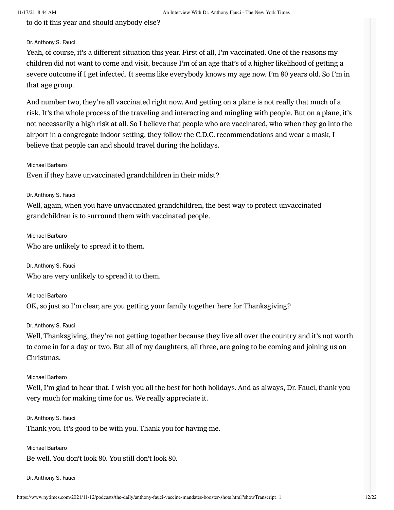to do it this year and should anybody else?

#### Dr. Anthony S. Fauci

Yeah, of course, it's a different situation this year. First of all, I'm vaccinated. One of the reasons my children did not want to come and visit, because I'm of an age that's of a higher likelihood of getting a severe outcome if I get infected. It seems like everybody knows my age now. I'm 80 years old. So I'm in that age group.

And number two, they're all vaccinated right now. And getting on a plane is not really that much of a risk. It's the whole process of the traveling and interacting and mingling with people. But on a plane, it's not necessarily a high risk at all. So I believe that people who are vaccinated, who when they go into the airport in a congregate indoor setting, they follow the C.D.C. recommendations and wear a mask, I believe that people can and should travel during the holidays.

Michael Barbaro

Even if they have unvaccinated grandchildren in their midst?

Dr. Anthony S. Fauci

Well, again, when you have unvaccinated grandchildren, the best way to protect unvaccinated grandchildren is to surround them with vaccinated people.

Michael Barbaro Who are unlikely to spread it to them.

Dr. Anthony S. Fauci Who are very unlikely to spread it to them.

Michael Barbaro OK, so just so I'm clear, are you getting your family together here for Thanksgiving?

Dr. Anthony S. Fauci

Well, Thanksgiving, they're not getting together because they live all over the country and it's not worth to come in for a day or two. But all of my daughters, all three, are going to be coming and joining us on Christmas.

Michael Barbaro

Well, I'm glad to hear that. I wish you all the best for both holidays. And as always, Dr. Fauci, thank you very much for making time for us. We really appreciate it.

Dr. Anthony S. Fauci Thank you. It's good to be with you. Thank you for having me.

Michael Barbaro Be well. You don't look 80. You still don't look 80.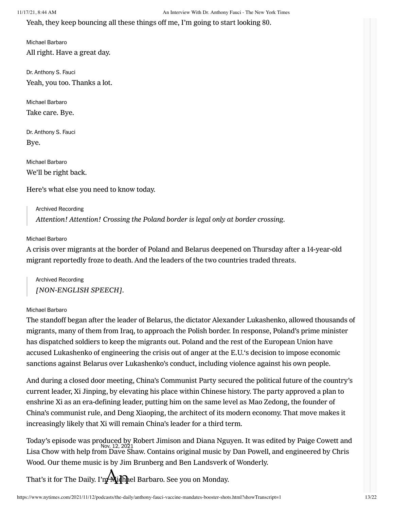Yeah, they keep bouncing all these things off me, I'm going to start looking 80.

Michael Barbaro All right. Have a great day.

Dr. Anthony S. Fauci Yeah, you too. Thanks a lot.

Michael Barbaro Take care. Bye.

Dr. Anthony S. Fauci Bye.

Michael Barbaro We'll be right back.

Here's what else you need to know today.

Archived Recording Attention! Attention! Crossing the Poland border is legal only at border crossing.

#### Michael Barbaro

A crisis over migrants at the border of Poland and Belarus deepened on Thursday after a 14-year-old migrant reportedly froze to death. And the leaders of the two countries traded threats.

Archived Recording [NON-ENGLISH SPEECH].

#### Michael Barbaro

The standoff began after the leader of Belarus, the dictator Alexander Lukashenko, allowed thousands of migrants, many of them from Iraq, to approach the Polish border. In response, Poland's prime minister has dispatched soldiers to keep the migrants out. Poland and the rest of the European Union have accused Lukashenko of engineering the crisis out of anger at the E.U.'s decision to impose economic sanctions against Belarus over Lukashenko's conduct, including violence against his own people.

And during a closed door meeting, China's Communist Party secured the political future of the country's current leader, Xi Jinping, by elevating his place within Chinese history. The party approved a plan to enshrine Xi as an era-defining leader, putting him on the same level as Mao Zedong, the founder of China's communist rule, and Deng Xiaoping, the architect of its modern economy. That move makes it increasingly likely that Xi will remain China's leader for a third term.

Lisa Chow with help from Dave Shaw. Contains original music by Dan Powell, and engineered by Chris Today's episode was produced by Robert Jimison and Diana Nguyen. It was edited by Paige Cowett and Wood. Our theme music is by Jim Brunberg and Ben Landsverk of Wonderly.

That's it for The Daily. I'm Midhel Barbaro. See you on Monday.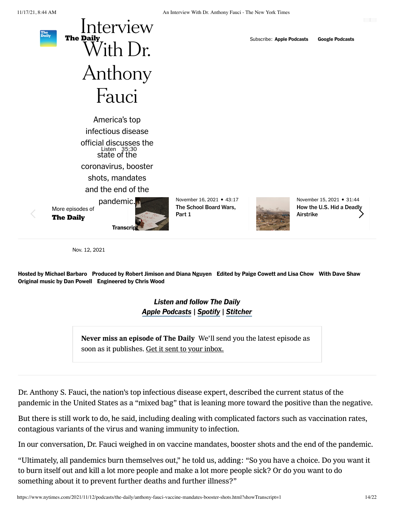

coronavirus, booster

shots, mandates

and the end of the

More episodes of

The Daily



November 16, 2021 • 43:17 [The School Board Wars,](https://www.nytimes.com/2021/11/16/podcasts/the-daily/school-boards-mask-mandates-crt-bucks-county.html?action=click&module=audio-series-bar®ion=header&pgtype=Article) Part 1



November 15, 2021 • 31:44 [How the U.S. Hid a Deadly](https://www.nytimes.com/2021/11/15/podcasts/the-daily/us-airstrike-casualties-isis.html?action=click&module=audio-series-bar®ion=header&pgtype=Article) Airstrike

Nov. 12, 2021

Hosted by [Michael Barbaro](https://www.nytimes.com/by/michael-barbaro) Produced by [Robert Jimison](https://www.nytimes.com/by/robert-jimison) and [Diana Nguyen](https://www.nytimes.com/by/diana-nguyen) Edited by [Paige Cowett](https://www.nytimes.com/by/paige-cowett) and [Lisa Chow](https://www.nytimes.com/by/lisa-chow) With [Dave Shaw](https://www.nytimes.com/by/dave-shaw) Original music by Dan Powell Engineered by Chris Wood

> Listen and follow The Daily [Apple Podcasts](https://itunes.apple.com/us/podcast/the-daily/id1200361736?mt=2) | [Spotify](https://open.spotify.com/show/3IM0lmZxpFAY7CwMuv9H4g?si=SfuMSC55R1qprFsRZU3_zw) | [Stitcher](http://www.stitcher.com/podcast/the-new-york-times/the-daily-10)

Never miss an episode of The Daily We'll send you the latest episode as soon as it publishes. Get it sent to your inbox.

Dr. Anthony S. Fauci, the nation's top infectious disease expert, described the current status of the pandemic in the United States as a "mixed bag" that is leaning more toward the positive than the negative.

But there is still work to do, he said, including dealing with complicated factors such as vaccination rates, contagious variants of the virus and waning immunity to infection.

In our conversation, Dr. Fauci weighed in on vaccine mandates, booster shots and the end of the pandemic.

"Ultimately, all pandemics burn themselves out," he told us, adding: "So you have a choice. Do you want it to burn itself out and kill a lot more people and make a lot more people sick? Or do you want to do something about it to prevent further deaths and further illness?"